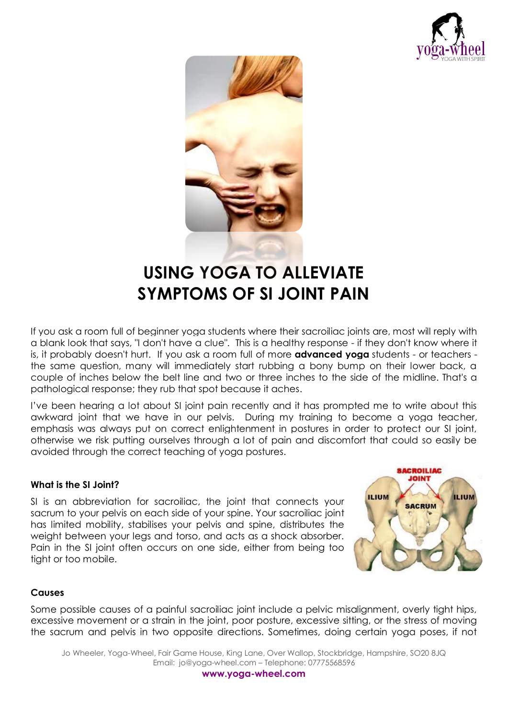



# **USING YOGA TO ALLEVIATE SYMPTOMS OF SI JOINT PAIN**

If you ask a room full of beginner yoga students where their sacroiliac joints are, most will reply with a blank look that says, "I don't have a clue". This is a healthy response - if they don't know where it is, it probably doesn't hurt. If you ask a room full of more **[advanced yoga](http://www.yogajournal.com/poses/)** students - or teachers the same question, many will immediately start rubbing a bony bump on their lower back, a couple of inches below the belt line and two or three inches to the side of the midline. That's a pathological response; they rub that spot because it aches.

I've been hearing a lot about SI joint pain recently and it has prompted me to write about this awkward joint that we have in our pelvis. During my training to become a yoga teacher, emphasis was always put on correct enlightenment in postures in order to protect our SI joint, otherwise we risk putting ourselves through a lot of pain and discomfort that could so easily be avoided through the correct teaching of yoga postures.

#### **What is the SI Joint?**

SI is an abbreviation for sacroiliac, the joint that connects your sacrum to your pelvis on each side of your spine. Your sacroiliac joint has limited mobility, stabilises your pelvis and spine, distributes the weight between your legs and torso, and acts as a shock absorber. Pain in the SI joint often occurs on one side, either from being too tight or too mobile.



#### **Causes**

Some possible causes of a painful sacroiliac joint include a pelvic misalignment, overly tight hips, excessive movement or a strain in the joint, poor posture, excessive sitting, or the stress of moving the sacrum and pelvis in two opposite directions. Sometimes, doing certain yoga poses, if not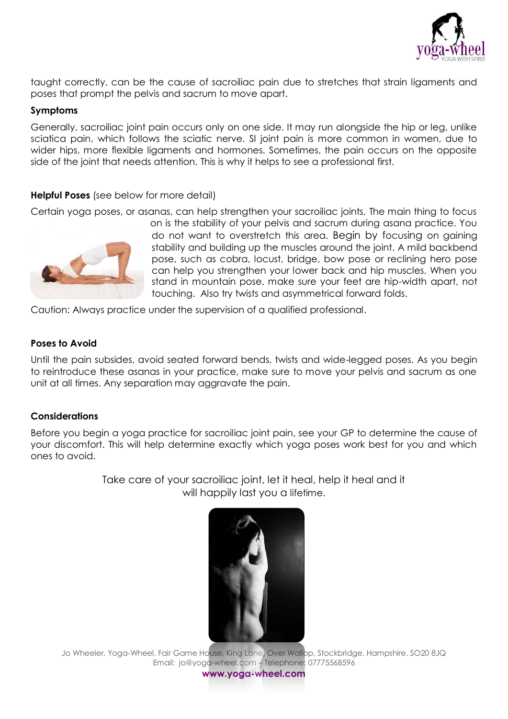

taught correctly, can be the cause of sacroiliac pain due to stretches that strain ligaments and poses that prompt the pelvis and sacrum to move apart.

#### **Symptoms**

Generally, sacroiliac joint pain occurs only on one side. It may run alongside the hip or leg, unlike sciatica pain, which follows the sciatic nerve. SI joint pain is more common in women, due to wider hips, more flexible ligaments and hormones. Sometimes, the pain occurs on the opposite side of the joint that needs attention. This is why it helps to see a professional first.

#### **Helpful Poses** (see below for more detail)

Certain yoga poses, or asanas, can help strengthen your sacroiliac joints. The main thing to focus



on is the stability of your pelvis and sacrum during asana practice. You do not want to overstretch this area. Begin by focusing on gaining stability and building up the muscles around the joint. A mild backbend pose, such as cobra, locust, bridge, bow pose or reclining hero pose can help you strengthen your lower back and hip muscles. When you stand in mountain pose, make sure your feet are hip-width apart, not touching. Also try twists and asymmetrical forward folds.

Caution: Always practice under the supervision of a qualified professional.

#### **Poses to Avoid**

Until the pain subsides, avoid seated forward bends, twists and wide-legged poses. As you begin to reintroduce these asanas in your practice, make sure to move your pelvis and sacrum as one unit at all times. Any separation may aggravate the pain.

#### **Considerations**

Before you begin a yoga practice for sacroiliac joint pain, see your GP to determine the cause of your discomfort. This will help determine exactly which yoga poses work best for you and which ones to avoid.

> Take care of your sacroiliac joint, let it heal, help it heal and it will happily last you a lifetime.



Jo Wheeler, Yoga-Wheel, Fair Game House, King Lane, Over Wallop, Stockbridge, Hampshire, SO20 8JQ Email: jo@yoga-wheel.com – Telephone: 07775568596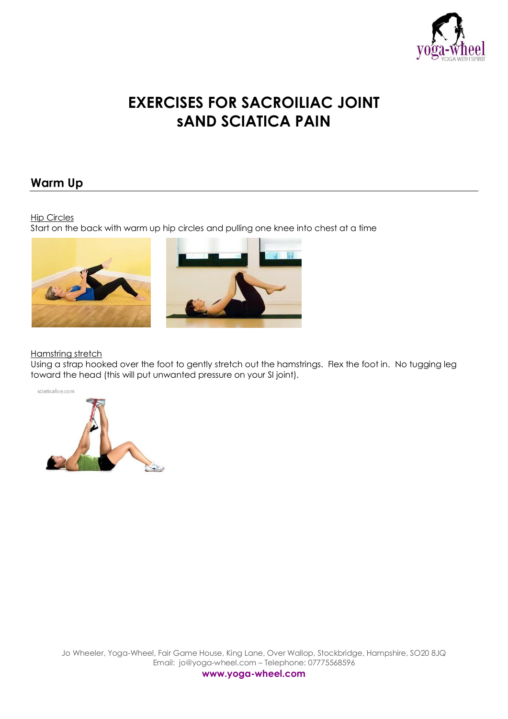

## **EXERCISES FOR SACROILIAC JOINT sAND SCIATICA PAIN**

## **Warm Up**

#### Hip Circles

Start on the back with warm up hip circles and pulling one knee into chest at a time





#### Hamstring stretch

Using a strap hooked over the foot to gently stretch out the hamstrings. Flex the foot in. No tugging leg toward the head (this will put unwanted pressure on your SI joint).



Jo Wheeler, Yoga-Wheel, Fair Game House, King Lane, Over Wallop, Stockbridge, Hampshire, SO20 8JQ Email: jo@yoga-wheel.com – Telephone: 07775568596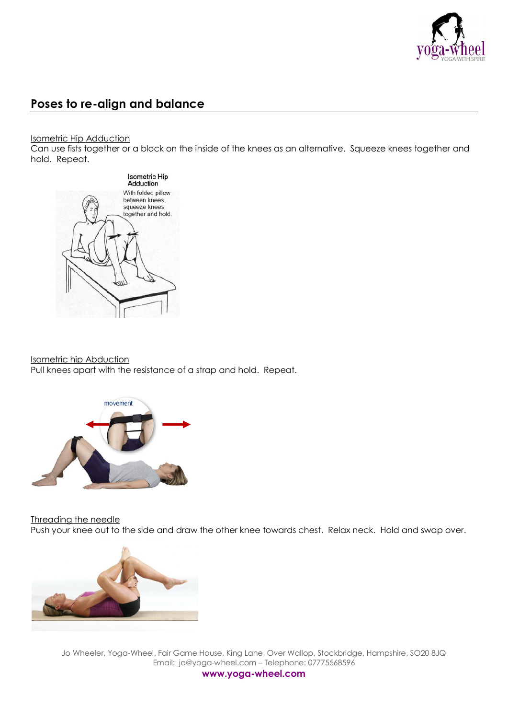

## **Poses to re-align and balance**

Isometric Hip Adduction

Can use fists together or a block on the inside of the knees as an alternative. Squeeze knees together and hold. Repeat.



#### Isometric hip Abduction

Pull knees apart with the resistance of a strap and hold. Repeat.



Threading the needle

Push your knee out to the side and draw the other knee towards chest. Relax neck. Hold and swap over.



Jo Wheeler, Yoga-Wheel, Fair Game House, King Lane, Over Wallop, Stockbridge, Hampshire, SO20 8JQ Email: jo@yoga-wheel.com – Telephone: 07775568596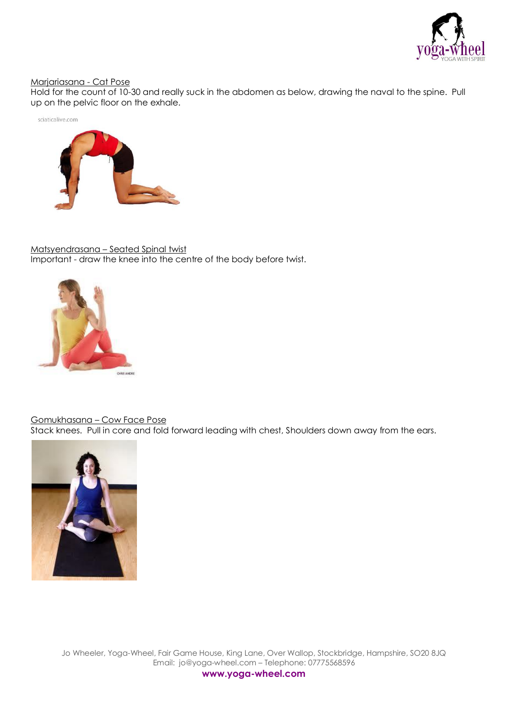

#### Marjariasana - Cat Pose

Hold for the count of 10-30 and really suck in the abdomen as below, drawing the naval to the spine. Pull up on the pelvic floor on the exhale.





Matsyendrasana – Seated Spinal twist Important - draw the knee into the centre of the body before twist.



#### Gomukhasana – Cow Face Pose

Stack knees. Pull in core and fold forward leading with chest, Shoulders down away from the ears.



Jo Wheeler, Yoga-Wheel, Fair Game House, King Lane, Over Wallop, Stockbridge, Hampshire, SO20 8JQ Email: jo@yoga-wheel.com – Telephone: 07775568596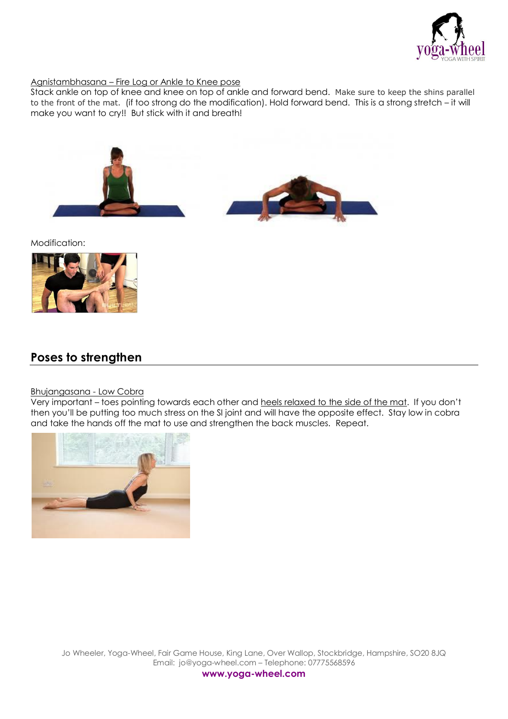

#### Agnistambhasana – Fire Log or Ankle to Knee pose

Stack ankle on top of knee and knee on top of ankle and forward bend. Make sure to keep the shins parallel to the front of the mat. (if too strong do the modification). Hold forward bend. This is a strong stretch – it will make you want to cry!! But stick with it and breath!





Modification:



### **Poses to strengthen**

#### Bhujangasana - Low Cobra

Very important – toes pointing towards each other and heels relaxed to the side of the mat. If you don't then you'll be putting too much stress on the SI joint and will have the opposite effect. Stay low in cobra and take the hands off the mat to use and strengthen the back muscles. Repeat.